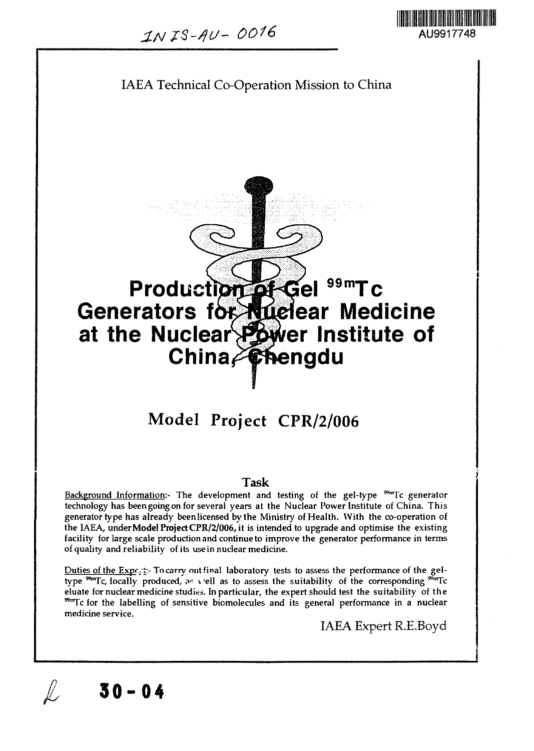

# IAEA Technical Co-Operation Mission to China Production of Gel **Generators for Auelear Medicine at the Nuclea er institute of China<del>/Ch</del>engdu 99mTc Model Project CPR/2/006**

#### Task

Background Information:- The development and testing of the gel-type  $^{99m}$ Tc generator technology has been going on for several years at the Nuclear Power Institute of China. This generator type has already been licensed by the Ministry of Health. With the co-operation of the IAEA, **underModel Project CPR/2/006,** it is intended to upgrade and optimise the existing facility for large scale production and continue to improve the generator performance in terms of quality and reliability of its use in nuclear medicine.

Duties of the Exp<sub>fa</sub> ::- To carry out final laboratory tests to assess the performance of the gel-<br>type <sup>99</sup> Tc. locally produced, as yiell as to assess the suitability of the corresponding <sup>99</sup> Tc. type  $\frac{90\pi}{2}$ c, locally produced,  $\sigma^2$  viell as to assess the suitability of the corresponding " eluate for nuclear medicine studies. In particular, the expert should test the suitability of the  $\frac{90 \text{ m}}{100}$  for the labelling of sensitive biomolecules and its general performance in a nuclear medicine service.

**30-04**

IAEA Expert R.E.Boyd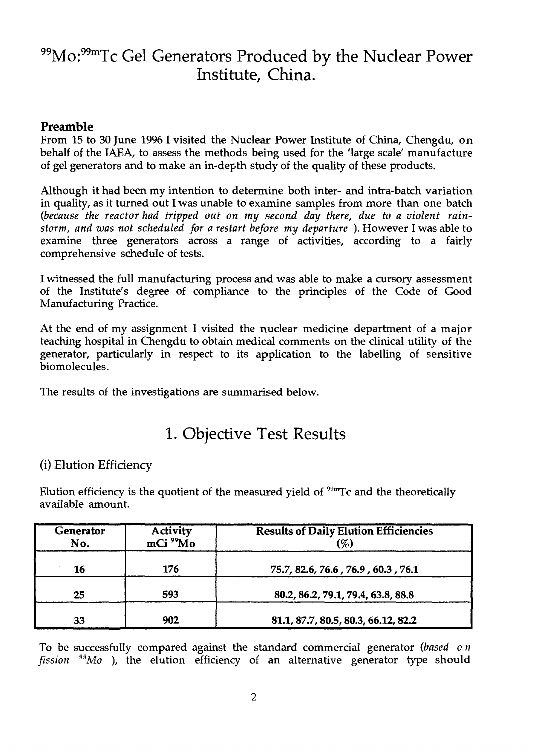## 99Mo:<sup>99m</sup>Tc Gel Generators Produced by the Nuclear Power Institute, China.

## Preamble

From 15 to 30 June 1996 I visited the Nuclear Power Institute of China, Chengdu, on behalf of the IAEA, to assess the methods being used for the 'large scale' manufacture of gel generators and to make an in-depth study of the quality of these products.

Although it had been my intention to determine both inter- and intra-batch variation in quality, as it turned out I was unable to examine samples from more than one batch *(because the reactor had tripped out on my second day there, due to a violent rainstorm, and was not scheduled for a restart before my departure* ). However I was able to examine three generators across a range of activities, according to a fairly comprehensive schedule of tests.

I witnessed the full manufacturing process and was able to make a cursory assessment of the Institute's degree of compliance to the principles of the Code of Good Manufacturing Practice.

At the end of my assignment I visited the nuclear medicine department of a major teaching hospital in Chengdu to obtain medical comments on the clinical utility of the generator, particularly in respect to its application to the labelling of sensitive biomolecules.

The results of the investigations are summarised below.

## 1. Objective Test Results

## (i) Elution Efficiency

Elution efficiency is the quotient of the measured yield of <sup>99m</sup>Tc and the theoretically available amount.

| Generator<br>No. | <b>Activity</b><br>mCi <sup>99</sup> Mo | <b>Results of Daily Elution Efficiencies</b><br>(%) |
|------------------|-----------------------------------------|-----------------------------------------------------|
| 16               | 176                                     | 75.7, 82.6, 76.6, 76.9, 60.3, 76.1                  |
| 25               | 593                                     | 80.2, 86.2, 79.1, 79.4, 63.8, 88.8                  |
| 33               | 902                                     | 81.1, 87.7, 80.5, 80.3, 66.12, 82.2                 |

To be successfully compared against the standard commercial generator *(based on fission "Mo* ), the elution efficiency of an alternative generator type should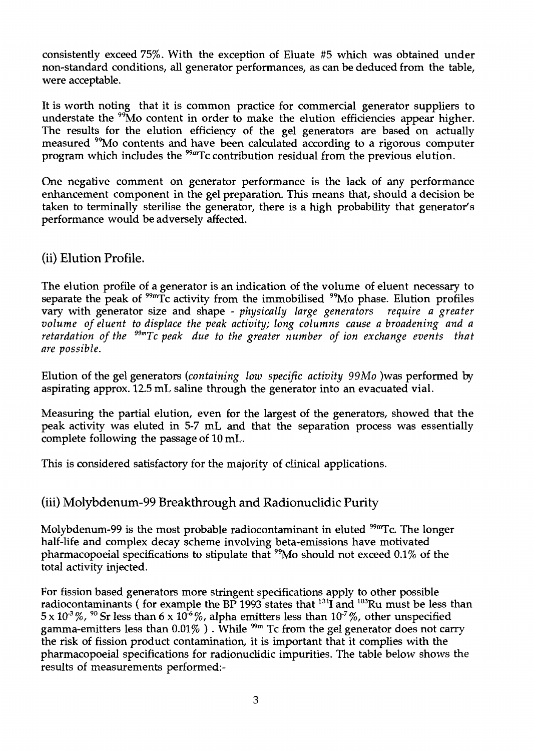consistently exceed 75%. With the exception of Eluate #5 which was obtained under non-standard conditions, all generator performances, as can be deduced from the table, were acceptable.

It is worth noting that it is common practice for commercial generator suppliers to understate the <sup>99</sup>Mo content in order to make the elution efficiencies appear higher. The results for the elution efficiency of the gel generators are based on actually measured "Mo contents and have been calculated according to a rigorous computer program which includes the <sup>99m</sup>Tc contribution residual from the previous elution.

One negative comment on generator performance is the lack of any performance enhancement component in the gel preparation. This means that, should a decision be taken to terminally sterilise the generator, there is a high probability that generator's performance would be adversely affected.

## (ii) Elution Profile.

The elution profile of a generator is an indication of the volume of eluent necessary to separate the peak of <sup>99m</sup>Tc activity from the immobilised <sup>99</sup>Mo phase. Elution profiles vary with generator size and shape - *physically large generators require a greater volume of eluent to displace the peak activity; long columns cause a broadening and a retardation of the 99mTc peak due to the greater number of ion exchange events that are possible.*

Elution of the gel generators *{containing low specific activity 99Mo* )was performed by aspirating approx. 12.5 mL saline through the generator into an evacuated vial.

Measuring the partial elution, even for the largest of the generators, showed that the peak activity was eluted in 5-7 mL and that the separation process was essentially complete following the passage of 10 mL.

This is considered satisfactory for the majority of clinical applications.

## (iii) Molybdenum-99 Breakthrough and Radionuclidic Purity

Molybdenum-99 is the most probable radiocontaminant in eluted <sup>99m</sup>Tc. The longer half-life and complex decay scheme involving beta-emissions have motivated pharmacopoeial specifications to stipulate that <sup>99</sup>Mo should not exceed 0.1% of the total activity injected.

For fission based generators more stringent specifications apply to other possible radiocontaminants (for example the BP 1993 states that  $^{131}$ I and  $^{103}$ Ru must be less than  $5 \times 10^{3}$ %, <sup>90</sup> Sr less than 6 x 10<sup>3</sup>%, alpha emitters less than 10<sup>-7</sup>%, other unspecified gamma-emitters less than 0.01% ) . While  $^{99\rm m}$  Tc from the gel generator does not carry the risk of fission product contamination, it is important that it complies with the pharmacopoeial specifications for radionuclidic impurities. The table below shows the results of measurements performed:-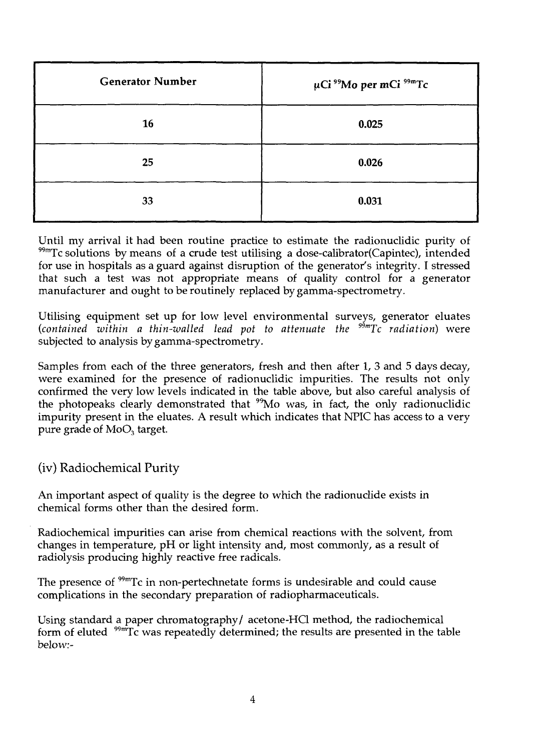| <b>Generator Number</b> | $\mu$ Ci <sup>99</sup> Mo per mCi <sup>99m</sup> Tc |
|-------------------------|-----------------------------------------------------|
| 16                      | 0.025                                               |
| 25                      | 0.026                                               |
| 33                      | 0.031                                               |

Until my arrival it had been routine practice to estimate the radionuclidic purity of  $99m$ Tc solutions by means of a crude test utilising a dose-calibrator(Capintec), intended for use in hospitals as a guard against disruption of the generator's integrity. I stressed that such a test was not appropriate means of quality control for a generator manufacturer and ought to be routinely replaced by gamma-spectrometry.

Utilising equipment set up for low level environmental surveys, generator eluates *(contained within a thin-walled lead pot to attenuate the 99mTc radiation)* were subjected to analysis by gamma-spectrometry.

Samples from each of the three generators, fresh and then after 1, 3 and 5 days decay, were examined for the presence of radionuclidic impurities. The results not only confirmed the very low levels indicated in the table above, but also careful analysis of the photopeaks clearly demonstrated that  $\frac{99}{100}$  was, in fact, the only radionuclidic impurity present in the eluates. A result which indicates that NPIC has access to a very pure grade of  $MoO<sub>3</sub>$  target.

(iv) Radiochemical Purity

An important aspect of quality is the degree to which the radionuclide exists in chemical forms other than the desired form.

Radiochemical impurities can arise from chemical reactions with the solvent, from changes in temperature, pH or light intensity and, most commonly, as a result of radiolysis producing highly reactive free radicals.

The presence of <sup>99m</sup>Tc in non-pertechnetate forms is undesirable and could cause complications in the secondary preparation of radiopharmaceuticals.

Using standard a paper chromatography/ acetone-HCl method, the radiochemical form of eluted  $\sqrt[99m]{\text{IC}}$  was repeatedly determined; the results are presented in the table below:-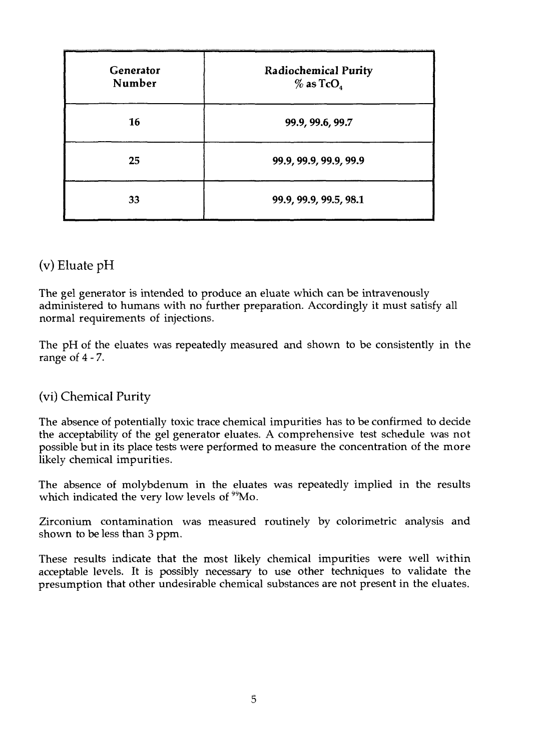| Generator<br>Number | <b>Radiochemical Purity</b><br>$\%$ as TcO <sub>4</sub> |
|---------------------|---------------------------------------------------------|
| 16                  | 99.9, 99.6, 99.7                                        |
| 25                  | 99.9, 99.9, 99.9, 99.9                                  |
| 33                  | 99.9, 99.9, 99.5, 98.1                                  |

## (v) Eluate pH

The gel generator is intended to produce an eluate which can be intravenously administered to humans with no further preparation. Accordingly it must satisfy all normal requirements of injections.

The pH of the eluates was repeatedly measured and shown to be consistently in the range *of 4-7.*

## (vi) Chemical Purity

The absence of potentially toxic trace chemical impurities has to be confirmed to decide the acceptability of the gel generator eluates. A comprehensive test schedule was not possible but in its place tests were performed to measure the concentration of the more likely chemical impurities.

The absence of molybdenum in the eluates was repeatedly implied in the results which indicated the very low levels of  $99$ 

Zirconium contamination was measured routinely by colorimetric analysis and shown to be less than 3 ppm.

These results indicate that the most likely chemical impurities were well within acceptable levels. It is possibly necessary to use other techniques to validate the presumption that other undesirable chemical substances are not present in the eluates.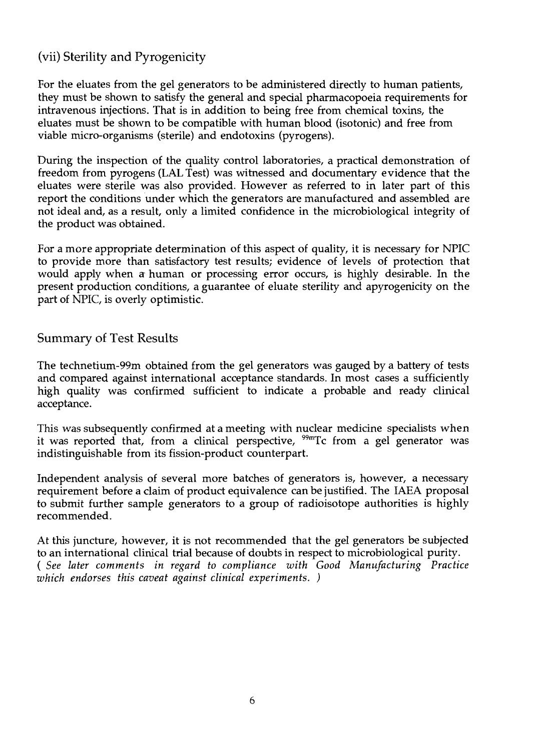## (vii) Sterility and Pyrogenicity

For the eluates from the gel generators to be administered directly to human patients, they must be shown to satisfy the general and special pharmacopoeia requirements for intravenous injections. That is in addition to being free from chemical toxins, the eluates must be shown to be compatible with human blood (isotonic) and free from viable micro-organisms (sterile) and endotoxins (pyrogens).

During the inspection of the quality control laboratories, a practical demonstration of freedom from pyrogens (LAL Test) was witnessed and documentary evidence that the eluates were sterile was also provided. However as referred to in later part of this report the conditions under which the generators are manufactured and assembled are not ideal and, as a result, only a limited confidence in the microbiological integrity of the product was obtained.

For a more appropriate determination of this aspect of quality, it is necessary for NPIC to provide more than satisfactory test results; evidence of levels of protection that would apply when a human or processing error occurs, is highly desirable. In the present production conditions, a guarantee of eluate sterility and apyrogenicity on the part of NPIC, is overly optimistic.

## Summary of Test Results

The technetium-99m obtained from the gel generators was gauged by a battery of tests and compared against international acceptance standards. In most cases a sufficiently high quality was confirmed sufficient to indicate a probable and ready clinical acceptance.

This was subsequently confirmed at a meeting with nuclear medicine specialists when it was reported that, from a clinical perspective, <sup>99m</sup>Tc from a gel generator was indistinguishable from its fission-product counterpart.

Independent analysis of several more batches of generators is, however, a necessary requirement before a claim of product equivalence can be justified. The IAEA proposal to submit further sample generators to a group of radioisotope authorities is highly recommended.

At this juncture, however, it is not recommended that the gel generators be subjected to an international clinical trial because of doubts in respect to microbiological purity. ( *See later comments in regard to compliance with Good Manufacturing Practice which endorses this caveat against clinical experiments. )*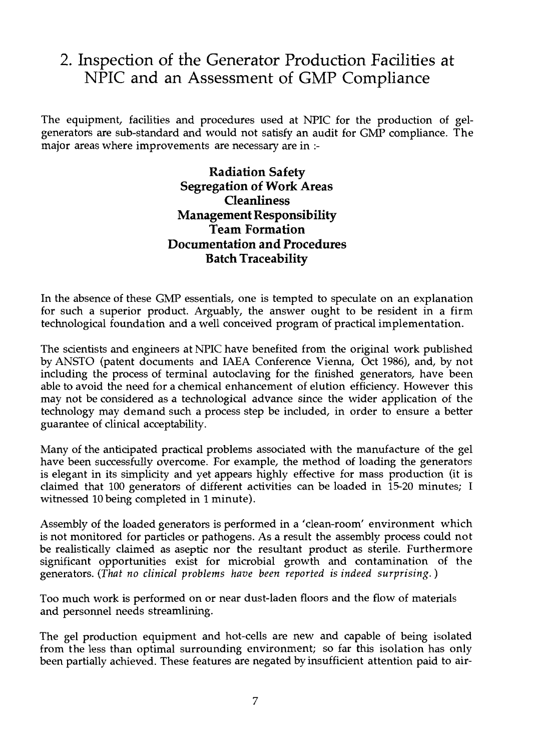## 2. Inspection of the Generator Production Facilities at NPIC and an Assessment of GMP Compliance

The equipment, facilities and procedures used at NPIC for the production of gelgenerators are sub-standard and would not satisfy an audit for GMP compliance. The major areas where improvements are necessary are in :-

> Radiation Safety Segregation of Work Areas **Cleanliness** Management Responsibility Team Formation Documentation and Procedures Batch Traceability

In the absence of these GMP essentials, one is tempted to speculate on an explanation for such a superior product. Arguably, the answer ought to be resident in a firm technological foundation and a well conceived program of practical implementation.

The scientists and engineers at NPIC have benefited from the original work published by ANSTO (patent documents and IAEA Conference Vienna, Oct 1986), and, by not including the process of terminal autoclaving for the finished generators, have been able to avoid the need for a chemical enhancement of elution efficiency. However this may not be considered as a technological advance since the wider application of the technology may demand such a process step be included, in order to ensure a better guarantee of clinical acceptability.

Many of the anticipated practical problems associated with the manufacture of the gel have been successfully overcome. For example, the method of loading the generators is elegant in its simplicity and yet appears highly effective for mass production (it is claimed that 100 generators of different activities can be loaded in 15-20 minutes; I witnessed 10 being completed in 1 minute).

Assembly of the loaded generators is performed in a 'clean-room' environment which is not monitored for particles or pathogens. As a result the assembly process could not be realistically claimed as aseptic nor the resultant product as sterile. Furthermore significant opportunities exist for microbial growth and contamination of the generators. *{That no clinical problems have been reported is indeed surprising.*)

Too much work is performed on or near dust-laden floors and the flow of materials and personnel needs streamlining.

The gel production equipment and hot-cells are new and capable of being isolated from the less than optimal surrounding environment; so far this isolation has only been partially achieved. These features are negated by insufficient attention paid to air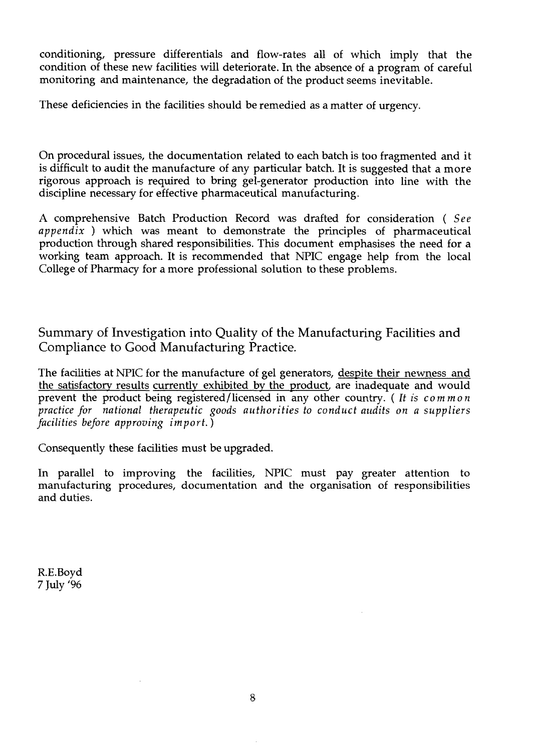conditioning, pressure differentials and flow-rates all of which imply that the condition of these new facilities will deteriorate. In the absence of a program of careful monitoring and maintenance, the degradation of the product seems inevitable.

These deficiencies in the facilities should be remedied as a matter of urgency.

On procedural issues, the documentation related to each batch is too fragmented and it is difficult to audit the manufacture of any particular batch. It is suggested that a more rigorous approach is required to bring gel-generator production into line with the discipline necessary for effective pharmaceutical manufacturing.

A comprehensive Batch Production Record was drafted for consideration ( *See appendix )* which was meant to demonstrate the principles of pharmaceutical production through shared responsibilities. This document emphasises the need for a working team approach. It is recommended that NPIC engage help from the local College of Pharmacy for a more professional solution to these problems.

Summary of Investigation into Quality of the Manufacturing Facilities and Compliance to Good Manufacturing Practice.

The facilities at NPIC for the manufacture of gel generators, despite their newness and the satisfactory results currently exhibited by the product, are inadequate and would prevent the product being registered/licensed in any other country. ( *It is common practice for national therapeutic goods authorities to conduct audits on a suppliers facilities before approving import.)*

Consequently these facilities must be upgraded.

In parallel to improving the facilities, NPIC must pay greater attention to manufacturing procedures, documentation and the organisation of responsibilities and duties.

R.E.Boyd 7 July '96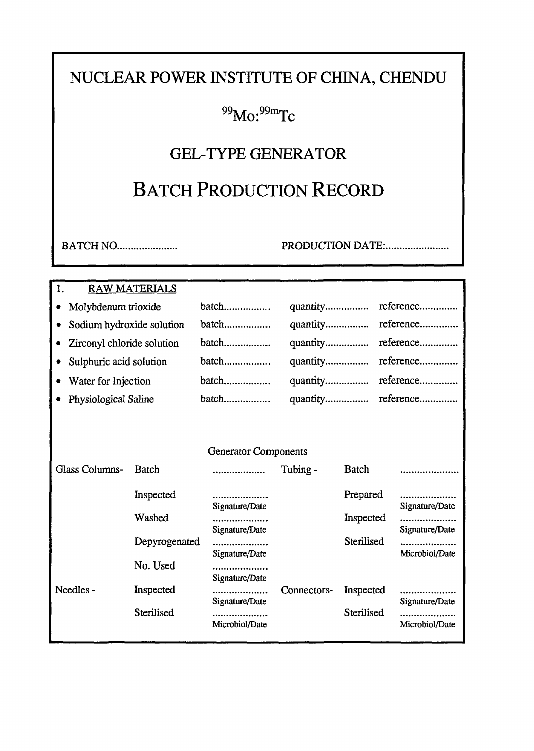## NUCLEAR POWER INSTITUTE OF CHINA, CHENDU

## $^{99}$ Mo: $^{99}$ mTc

## GEL-TYPE GENERATOR

## BATCH PRODUCTION RECORD

BATCH NO. PRODUCTION DATE:

#### 1. RAW MATERIALS

|  | Molybdenum trioxide |  |
|--|---------------------|--|
|--|---------------------|--|

- Sodium hydroxide solution
- Zirconyl chloride solution
- Sulphuric acid solution
- Water for Injection
- Physiological Saline
- batch................. batch.................. batch.................. batch.................. batch.................. batch.................. quantity................. reference quantity................ reference quantity................ reference quantity................. reference quantity reference quantity................. reference

#### Generator Components

| Glass Columns- | Batch         |                | Tubing -    | Batch      |                |
|----------------|---------------|----------------|-------------|------------|----------------|
|                | Inspected     |                |             | Prepared   | .              |
|                |               | Signature/Date |             |            | Signature/Date |
|                | Washed        |                |             | Inspected  | .              |
|                |               | Signature/Date |             |            | Signature/Date |
|                | Depyrogenated |                |             | Sterilised | .              |
|                |               | Signature/Date |             |            | Microbiol/Date |
|                | No. Used      |                |             |            |                |
|                |               | Signature/Date |             |            |                |
| Needles -      | Inspected     |                | Connectors- | Inspected  | .              |
|                |               | Signature/Date |             |            | Signature/Date |
|                | Sterilised    |                |             | Sterilised | .              |
|                |               | Microbiol/Date |             |            | Microbiol/Date |
|                |               |                |             |            |                |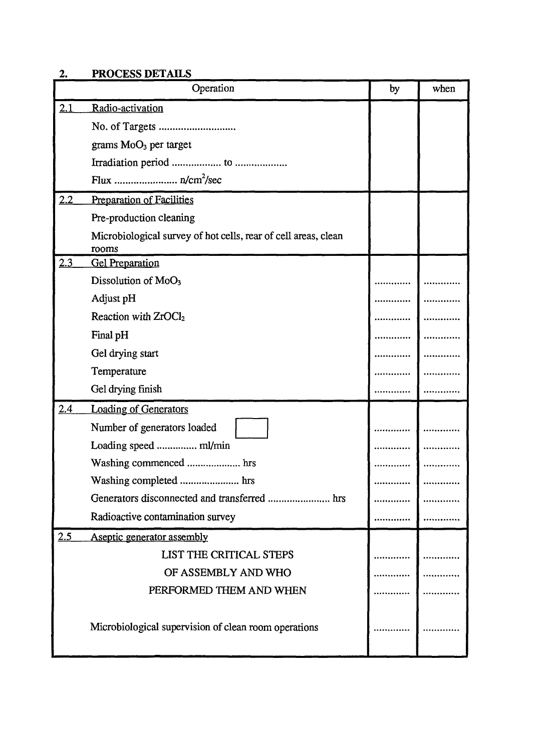## **2. PROCESS DETAILS**

|            | Operation                                                               | by | when |
|------------|-------------------------------------------------------------------------|----|------|
| 2.1        | Radio-activation                                                        |    |      |
|            |                                                                         |    |      |
|            | grams MoO <sub>3</sub> per target                                       |    |      |
|            |                                                                         |    |      |
|            |                                                                         |    |      |
| 2.2        | <b>Preparation of Facilities</b>                                        |    |      |
|            | Pre-production cleaning                                                 |    |      |
|            | Microbiological survey of hot cells, rear of cell areas, clean<br>rooms |    |      |
| 2.3        | <b>Gel Preparation</b>                                                  |    |      |
|            | Dissolution of MoO <sub>3</sub>                                         |    |      |
|            | Adjust pH                                                               |    |      |
|            | Reaction with ZrOCl <sub>2</sub>                                        |    |      |
|            | Final pH                                                                |    |      |
|            | Gel drying start                                                        |    |      |
|            | Temperature                                                             |    |      |
|            | Gel drying finish                                                       |    |      |
| <u>2.4</u> | <b>Loading of Generators</b>                                            |    |      |
|            | Number of generators loaded                                             |    |      |
|            | Loading speed  ml/min                                                   |    |      |
|            |                                                                         |    |      |
|            | Washing completed  hrs                                                  |    |      |
|            |                                                                         |    |      |
|            | Radioactive contamination survey                                        |    |      |
| 2.5        | Aseptic generator assembly                                              |    |      |
|            | LIST THE CRITICAL STEPS                                                 |    |      |
|            | OF ASSEMBLY AND WHO                                                     |    |      |
|            | PERFORMED THEM AND WHEN                                                 |    |      |
|            | Microbiological supervision of clean room operations                    |    |      |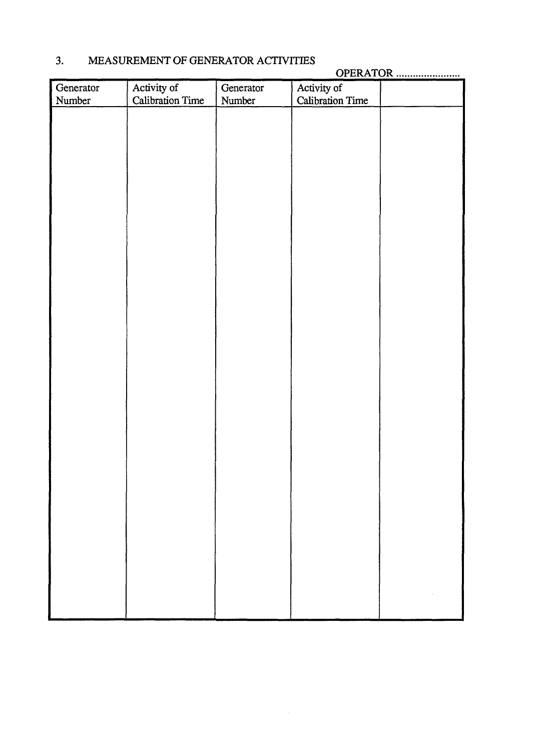| Generator | Activity of             | Generator | Activity of             |  |
|-----------|-------------------------|-----------|-------------------------|--|
| Number    | <b>Calibration Time</b> | Number    | <b>Calibration Time</b> |  |
|           |                         |           |                         |  |
|           |                         |           |                         |  |
|           |                         |           |                         |  |
|           |                         |           |                         |  |
|           |                         |           |                         |  |
|           |                         |           |                         |  |
|           |                         |           |                         |  |
|           |                         |           |                         |  |
|           |                         |           |                         |  |
|           |                         |           |                         |  |
|           |                         |           |                         |  |
|           |                         |           |                         |  |
|           |                         |           |                         |  |
|           |                         |           |                         |  |
|           |                         |           |                         |  |
|           |                         |           |                         |  |
|           |                         |           |                         |  |
|           |                         |           |                         |  |
|           |                         |           |                         |  |
|           |                         |           |                         |  |
|           |                         |           |                         |  |
|           |                         |           |                         |  |
|           |                         |           |                         |  |
|           |                         |           |                         |  |
|           |                         |           |                         |  |
|           |                         |           |                         |  |
|           |                         |           |                         |  |
|           |                         |           |                         |  |
|           |                         |           |                         |  |
|           |                         |           |                         |  |
|           |                         |           |                         |  |
|           |                         |           |                         |  |
|           |                         |           |                         |  |
|           |                         |           |                         |  |
|           |                         |           |                         |  |
|           |                         |           |                         |  |
|           |                         |           |                         |  |
|           |                         |           |                         |  |
|           |                         |           |                         |  |
|           |                         |           |                         |  |
|           |                         |           |                         |  |

## **3.** MEASUREMENT OF GENERATOR ACTIVITIES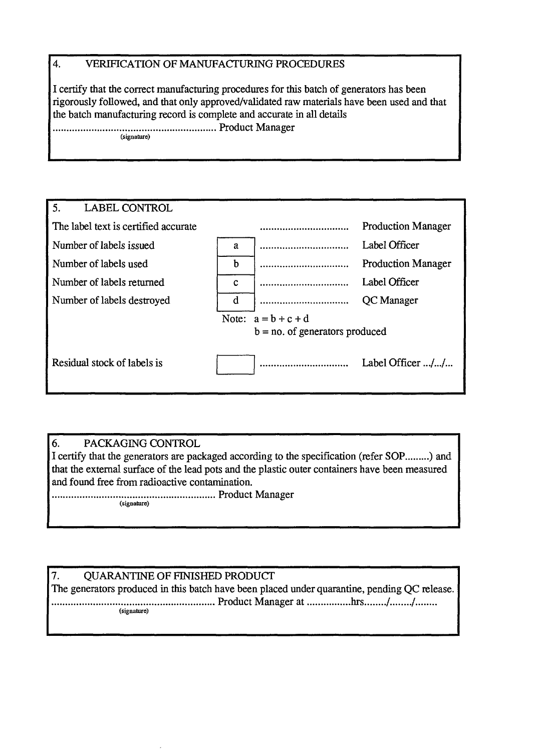### **4.** VERIFICATION OF MANUFACTURING PROCEDURES

I certify that the correct manufacturing procedures for this batch of generators has been rigorously followed, and that only approved/validated raw materials have been used and that the batch manufacturing record is complete and accurate in all details Product Manager

(signature)

| 5.<br><b>LABEL CONTROL</b>           |   |                                   |                           |
|--------------------------------------|---|-----------------------------------|---------------------------|
| The label text is certified accurate |   |                                   | <b>Production Manager</b> |
| Number of labels issued              | a |                                   | Label Officer             |
| Number of labels used                | b |                                   | <b>Production Manager</b> |
| Number of labels returned            | C |                                   | Label Officer             |
| Number of labels destroyed           | d |                                   | QC Manager                |
|                                      |   | Note: $a = b + c + d$             |                           |
|                                      |   | $b = no$ . of generators produced |                           |
|                                      |   |                                   |                           |
| Residual stock of labels is          |   |                                   | Label Officer //          |
|                                      |   |                                   |                           |
|                                      |   |                                   |                           |

#### 6. PACKAGING CONTROL

I certify that the generators are packaged according to the specification (refer SOP.........) and that the external surface of the lead pots and the plastic outer containers have been measured and found free from radioactive contamination.

Product Manager (signature)

## 7. QUARANTINE OF FINISHED PRODUCT

The generators produced in this batch have been placed under quarantine, pending QC release. Product Manager at hrs / / (signature)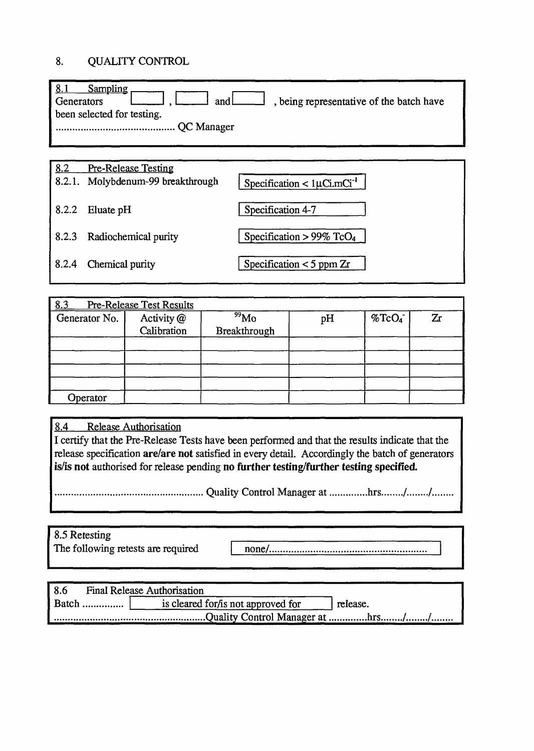## 8. QUALITY CONTROL

| Sampling<br>Generators<br>been selected for testing. | and some presentative of the batch have |
|------------------------------------------------------|-----------------------------------------|
|                                                      |                                         |

| 8.2   | <b>Pre-Release Testing</b>        |                                              |
|-------|-----------------------------------|----------------------------------------------|
|       | 8.2.1. Molybdenum-99 breakthrough | Specification < $1 \mu$ Ci.mCi <sup>-1</sup> |
| 8.2.2 | Eluate pH                         | Specification 4-7                            |
| 8.2.3 | Radiochemical purity              | Specification > 99% TcO <sub>4</sub>         |
| 8.2.4 | Chemical purity                   | Specification $<$ 5 ppm $Zr$                 |
|       |                                   |                                              |

| 8.3           | <b>Pre-Release Test Results</b> |                    |    |                       |    |
|---------------|---------------------------------|--------------------|----|-----------------------|----|
| Generator No. | Activity @                      | $\frac{99}{90}$ Mo | pH | $\%$ TcO <sub>4</sub> | Zr |
|               | Calibration                     | Breakthrough       |    |                       |    |
|               |                                 |                    |    |                       |    |
|               |                                 |                    |    |                       |    |
|               |                                 |                    |    |                       |    |
|               |                                 |                    |    |                       |    |
| Operator      |                                 |                    |    |                       |    |

8.4 Release Authorisation

I certify that the Pre-Release Tests have been performed and that the results indicate that the release specification **are/are not** satisfied in every detail. Accordingly the batch of generators is/is **not** authorised for release pending **no further testing/further testing specified.**

Quality Control Manager at hrs / /

| 8.5 Retesting |  |
|---------------|--|
|               |  |

The following retests are required none/..

| 8.6<br><b>Final Release Authorisation</b> |                                      |          |
|-------------------------------------------|--------------------------------------|----------|
|                                           | is cleared for / is not approved for | release. |
|                                           |                                      |          |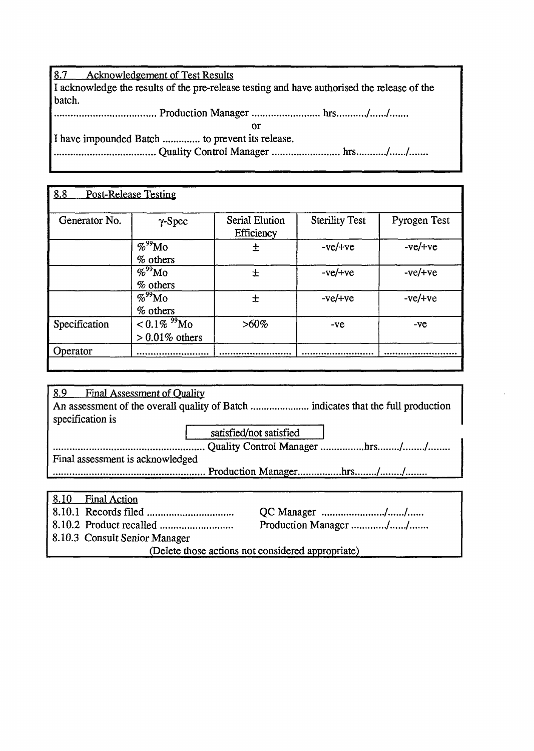8.7 Acknowledgement of Test Results I acknowledge the results of the pre-release testing and have authorised the release of the batch. Production Manager hrs / /. or

I have impounded Batch .............. to prevent its release.

Quality Control Manager hrs /. /

| 8.8           | <b>Post-Release Testing</b>            |                              |                       |              |
|---------------|----------------------------------------|------------------------------|-----------------------|--------------|
| Generator No. | $\gamma$ -Spec                         | Serial Elution<br>Efficiency | <b>Sterility Test</b> | Pyrogen Test |
|               | $\%$ <sup>99</sup> Mo<br>% others      | 土                            | $-ve/+ve$             | $-ve/+ve$    |
|               | $\%^{99}$ Mo<br>% others               | 士                            | $-ve/+ve$             | $-ve/+ve$    |
|               | $\%^{99}$ Mo<br>$%$ others             | 士                            | $-ve/+ve$             | $-ve/+ve$    |
| Specification | $< 0.1\%~^{99}$ Mo<br>$>0.01\%$ others | $>60\%$                      | -ve                   | -ve          |
| Operator      |                                        |                              |                       |              |

| 8.9<br><b>Final Assessment of Quality</b> |                         |                               |
|-------------------------------------------|-------------------------|-------------------------------|
|                                           |                         |                               |
| specification is                          |                         |                               |
|                                           | satisfied/not satisfied |                               |
|                                           |                         | Quality Control Manager hrs// |
| Final assessment is acknowledged          |                         |                               |
|                                           |                         |                               |
|                                           |                         |                               |

| 8.10 Final Action                                 |  |                       |
|---------------------------------------------------|--|-----------------------|
|                                                   |  |                       |
|                                                   |  | Production Manager // |
| 8.10.3 Consult Senior Manager                     |  |                       |
| (Delete those actions not considered appropriate) |  |                       |